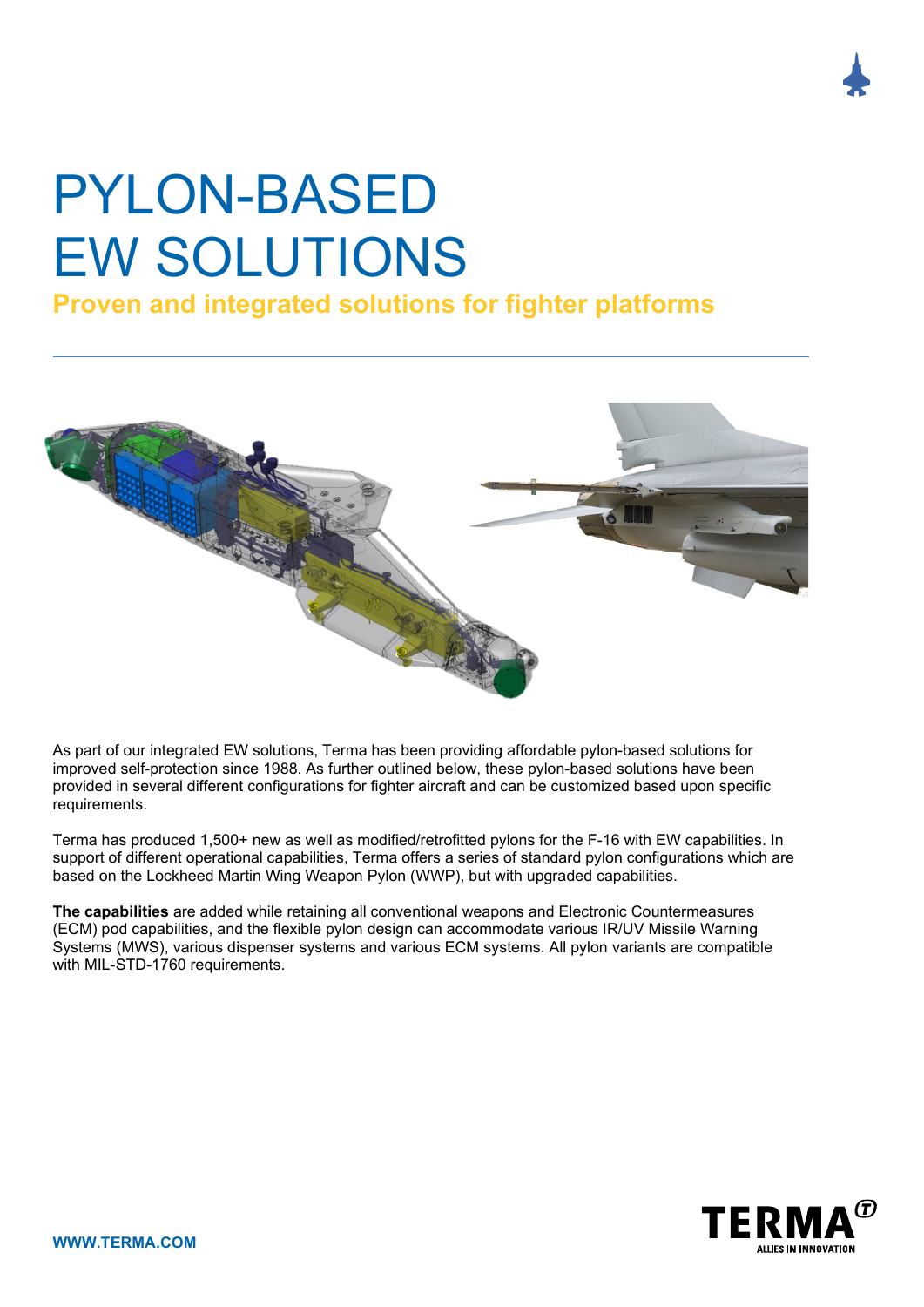## PYLON-BASED EW SOLUTIONS

## **Proven and integrated solutions for fighter platforms**



As part of our integrated EW solutions, Terma has been providing affordable pylon-based solutions for improved self-protection since 1988. As further outlined below, these pylon-based solutions have been provided in several different configurations for fighter aircraft and can be customized based upon specific requirements.

Terma has produced 1,500+ new as well as modified/retrofitted pylons for the F-16 with EW capabilities. In support of different operational capabilities, Terma offers a series of standard pylon configurations which are based on the Lockheed Martin Wing Weapon Pylon (WWP), but with upgraded capabilities.

**The capabilities** are added while retaining all conventional weapons and Electronic Countermeasures (ECM) pod capabilities, and the flexible pylon design can accommodate various IR/UV Missile Warning Systems (MWS), various dispenser systems and various ECM systems. All pylon variants are compatible with MIL-STD-1760 requirements.